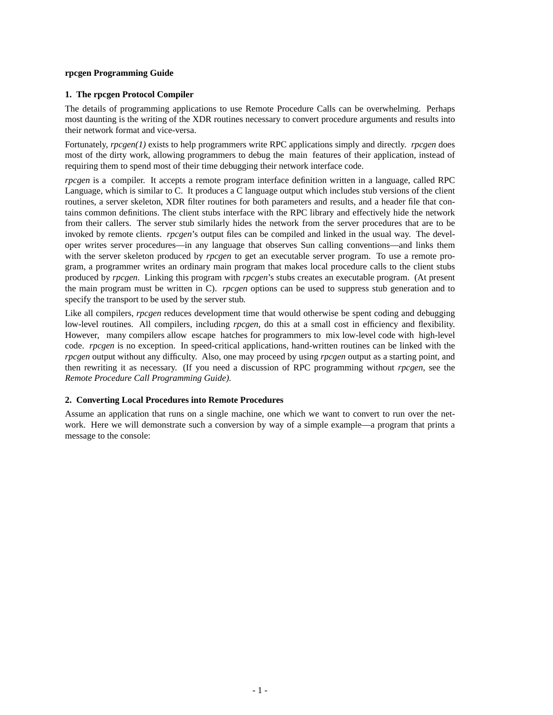### **rpcgen Programming Guide**

## **1. The rpcgen Protocol Compiler**

The details of programming applications to use Remote Procedure Calls can be overwhelming. Perhaps most daunting is the writing of the XDR routines necessary to convert procedure arguments and results into their network format and vice-versa.

Fortunately, *rpcgen(1)* exists to help programmers write RPC applications simply and directly. *rpcgen* does most of the dirty work, allowing programmers to debug the main features of their application, instead of requiring them to spend most of their time debugging their network interface code.

*rpcgen* is a compiler. It accepts a remote program interface definition written in a language, called RPC Language, which is similar to C. It produces a C language output which includes stub versions of the client routines, a server skeleton, XDR filter routines for both parameters and results, and a header file that contains common definitions. The client stubs interface with the RPC library and effectively hide the network from their callers. The server stub similarly hides the network from the server procedures that are to be invoked by remote clients. *rpcgen*'s output files can be compiled and linked in the usual way. The developer writes server procedures—in any language that observes Sun calling conventions—and links them with the server skeleton produced by *rpcgen* to get an executable server program. To use a remote program, a programmer writes an ordinary main program that makes local procedure calls to the client stubs produced by *rpcgen*. Linking this program with *rpcgen*'s stubs creates an executable program. (At present the main program must be written in C). *rpcgen* options can be used to suppress stub generation and to specify the transport to be used by the server stub.

Like all compilers, *rpcgen* reduces development time that would otherwise be spent coding and debugging low-level routines. All compilers, including *rpcgen*, do this at a small cost in efficiency and flexibility. However, many compilers allow escape hatches for programmers to mix low-level code with high-level code. *rpcgen* is no exception. In speed-critical applications, hand-written routines can be linked with the *rpcgen* output without any difficulty. Also, one may proceed by using *rpcgen* output as a starting point, and then rewriting it as necessary. (If you need a discussion of RPC programming without *rpcgen*, see the *Remote Procedure Call Programming Guide).*

# **2. Converting Local Procedures into Remote Procedures**

Assume an application that runs on a single machine, one which we want to convert to run over the network. Here we will demonstrate such a conversion by way of a simple example—a program that prints a message to the console: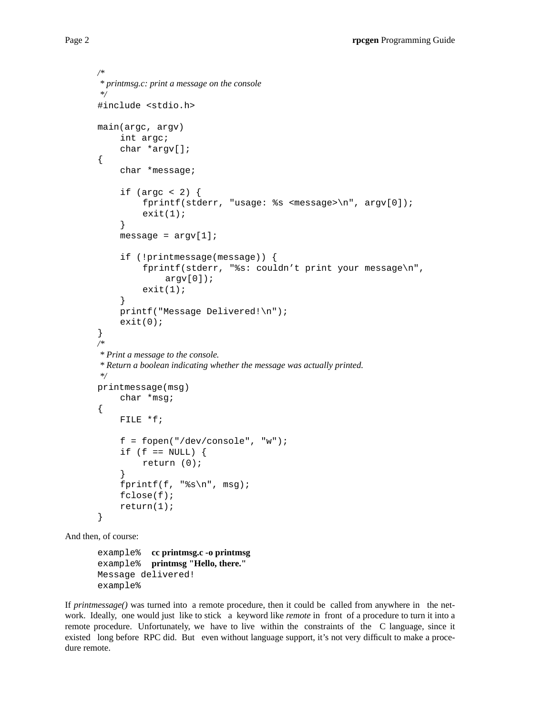```
/*
* printmsg.c: print a message on the console
*/
#include <stdio.h>
main(argc, argv)
    int argc;
    char *argv[];
{
    char *message;
    if (argc < 2) {
         fprintf(stderr, "usage: %s <message>\n", argv[0]);
         exit(1);}
    message = \arg v[1];
    if (!printmessage(message)) {
         fprintf(stderr, "%s: couldn't print your message\n",
              argv[0];
         exit(1);}
    printf("Message Delivered!\n");
    exit(0);}
/*
* Print a message to the console.
* Return a boolean indicating whether the message was actually printed.
*/
printmessage(msg)
    char *msg;
{
    FILE *f;
    f = fopen("/dev/console", "w");
    if (f == NULL) {
         return (0);
    }
    fprintf(f, "\s\n", msg);
    fclose(f);
    return(1);
}
```
And then, of course:

example% **cc printmsg.c -o printmsg** example% **printmsg "Hello, there."** Message delivered! example%

If *printmessage()* was turned into a remote procedure, then it could be called from anywhere in the network. Ideally, one would just like to stick a keyword like *remote* in front of a procedure to turn it into a remote procedure. Unfortunately, we have to live within the constraints of the C language, since it existed long before RPC did. But even without language support, it's not very difficult to make a procedure remote.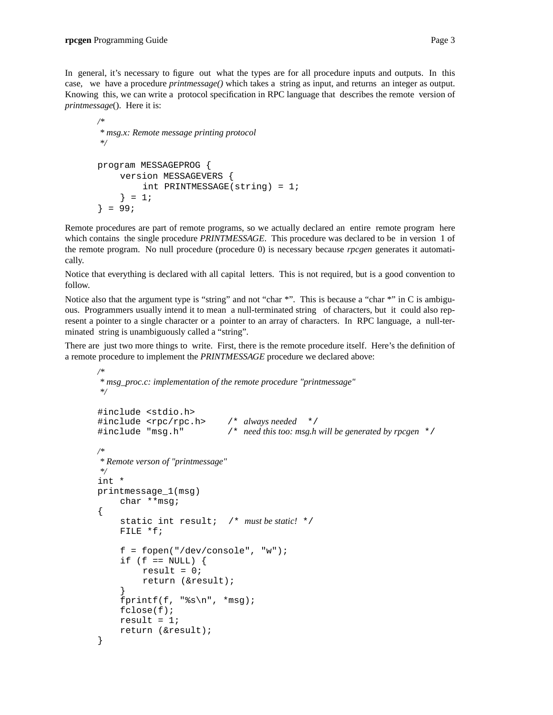In general, it's necessary to figure out what the types are for all procedure inputs and outputs. In this case, we have a procedure *printmessage()* which takes a string as input, and returns an integer as output. Knowing this, we can write a protocol specification in RPC language that describes the remote version of *printmessage*(). Here it is:

```
/*
* msg.x: Remote message printing protocol
*/
program MESSAGEPROG {
    version MESSAGEVERS {
         int PRINTMESSAGE(string) = 1;
     \} = 1;} = 99;
```
Remote procedures are part of remote programs, so we actually declared an entire remote program here which contains the single procedure *PRINTMESSAGE*. This procedure was declared to be in version 1 of the remote program. No null procedure (procedure 0) is necessary because *rpcgen* generates it automatically.

Notice that everything is declared with all capital letters. This is not required, but is a good convention to follow.

Notice also that the argument type is "string" and not "char \*". This is because a "char \*" in C is ambiguous. Programmers usually intend it to mean a null-terminated string of characters, but it could also represent a pointer to a single character or a pointer to an array of characters. In RPC language, a null-terminated string is unambiguously called a "string".

There are just two more things to write. First, there is the remote procedure itself. Here's the definition of a remote procedure to implement the *PRINTMESSAGE* procedure we declared above:

```
/*
* msg_proc.c: implementation of the remote procedure "printmessage"
*/
#include <stdio.h>
#include <rpc/rpc.h> /* always needed */
#include "msg.h" /* need this too: msg.h will be generated by rpcgen */
/*
* Remote verson of "printmessage"
*/
int *
printmessage_1(msg)
    char **msg;
{
     static int result; /* must be static! */
    FILE *f;
    f = fopen("/dev/console", "w");
     if (f == NULL) {
         result = 0;
         return (&result);
     }
    fprintf(f, "%s\n", *msg);
     fclose(f);
    result = 1;return (&result);
}
```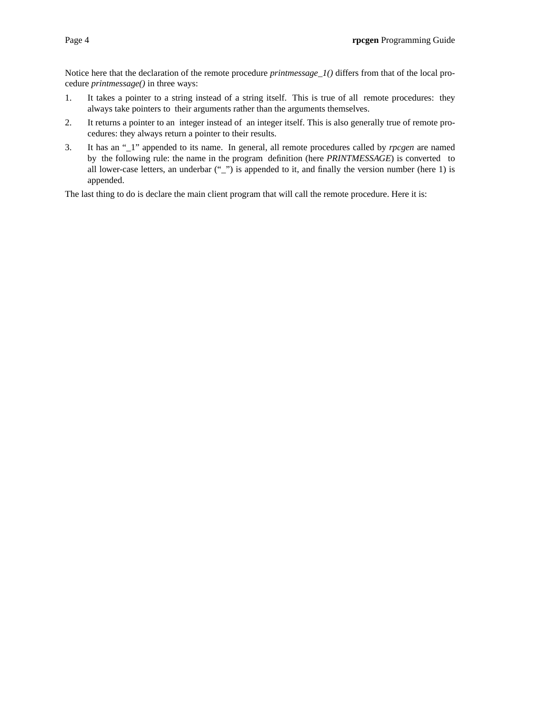Notice here that the declaration of the remote procedure *printmessage\_1()* differs from that of the local procedure *printmessage()* in three ways:

- 1. It takes a pointer to a string instead of a string itself. This is true of all remote procedures: they always take pointers to their arguments rather than the arguments themselves.
- 2. It returns a pointer to an integer instead of an integer itself. This is also generally true of remote procedures: they always return a pointer to their results.
- 3. It has an "\_1" appended to its name. In general, all remote procedures called by *rpcgen* are named by the following rule: the name in the program definition (here *PRINTMESSAGE*) is converted to all lower-case letters, an underbar  $\binom{n}{r}$  is appended to it, and finally the version number (here 1) is appended.

The last thing to do is declare the main client program that will call the remote procedure. Here it is: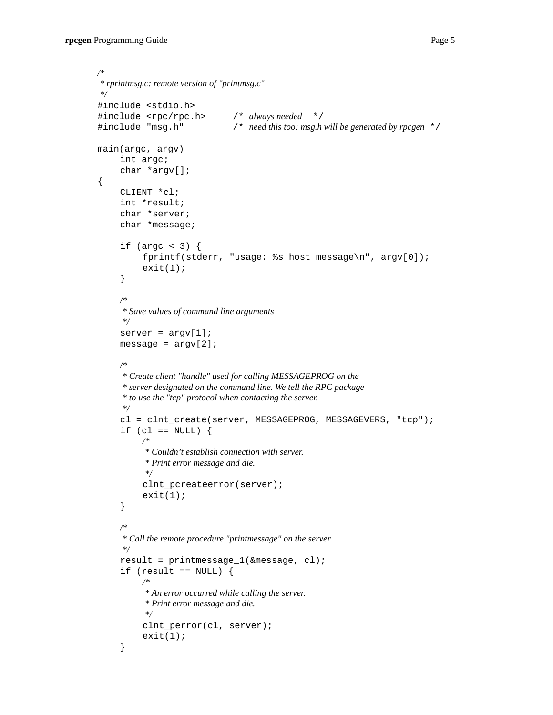*/\**

{

```
* rprintmsg.c: remote version of "printmsg.c"
*/
#include <stdio.h>
#include <rpc/rpc.h> /* always needed */
#include "msg.h" /* need this too: msg.h will be generated by rpcgen */
main(argc, argv)
    int argc;
     char *argv[];
     CLIENT *cl;
     int *result;
     char *server;
     char *message;
     if (argc < 3) \{fprintf(stderr, "usage: %s host message\n", argv[0]);
          exit(1);}
     /*
     * Save values of command line arguments
     */
     server = argv[1];message = argv[2];
     /*
     * Create client "handle" used for calling MESSAGEPROG on the
     * server designated on the command line. We tell the RPC package
     * to use the "tcp" protocol when contacting the server.
     */
     cl = clnt_create(server, MESSAGEPROG, MESSAGEVERS, "tcp");
     if (cl == NULL) {
          /*
          * Couldn't establish connection with server.
          * Print error message and die.
          */
          clnt_pcreateerror(server);
          exit(1);}
     /*
     * Call the remote procedure "printmessage" on the server
     */
     result = printmessage_1(&message, cl);
     if (result == NULL) {
          /*
          * An error occurred while calling the server.
          * Print error message and die.
          */
          clnt_perror(cl, server);
          exit(1);}
```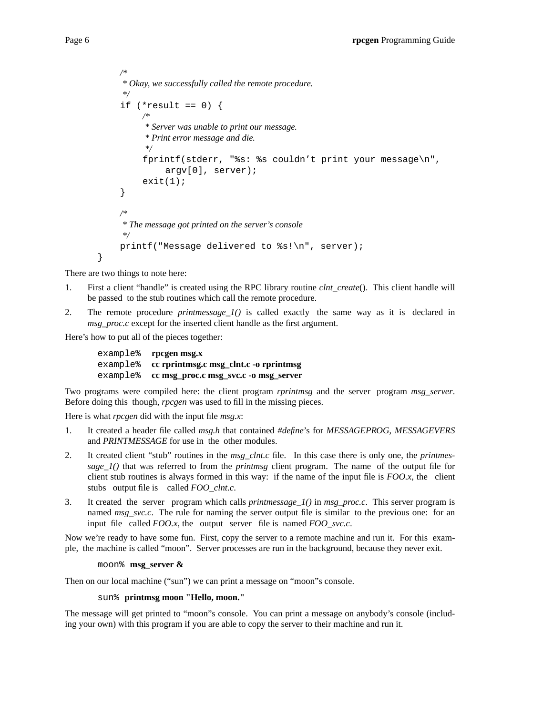```
/*
* Okay, we successfully called the remote procedure.
 */
if (*result == 0) {
     /*
      * Server was unable to print our message.
      * Print error message and die.
     */
     fprintf(stderr, "%s: %s couldn't print your message\n",
          argv[0], server);
     exit(1);}
/*
* The message got printed on the server's console
*/
printf("Message delivered to %s!\n", server);
```
There are two things to note here:

}

- 1. First a client "handle" is created using the RPC library routine *clnt\_create*(). This client handle will be passed to the stub routines which call the remote procedure.
- 2. The remote procedure *printmessage\_1()* is called exactly the same way as it is declared in *msg\_proc.c* except for the inserted client handle as the first argument.

Here's how to put all of the pieces together:

example% **rpcgen msg.x** example% **cc rprintmsg.c msg\_clnt.c -o rprintmsg** example% **cc msg\_proc.c msg\_svc.c -o msg\_server**

Two programs were compiled here: the client program *rprintmsg* and the server program *msg\_server*. Before doing this though, *rpcgen* was used to fill in the missing pieces.

Here is what *rpcgen* did with the input file *msg.x*:

- 1. It created a header file called *msg.h* that contained *#define*'s for *MESSAGEPROG*, *MESSAGEVERS* and *PRINTMESSAGE* for use in the other modules.
- 2. It created client "stub" routines in the *msg\_clnt.c* file. In this case there is only one, the *printmessage\_1()* that was referred to from the *printmsg* client program. The name of the output file for client stub routines is always formed in this way: if the name of the input file is *FOO.x*, the client stubs output file is called *FOO* clnt.c.
- 3. It created the server program which calls *printmessage\_1()* in *msg\_proc.c*. This server program is named *msg\_svc.c*. The rule for naming the server output file is similar to the previous one: for an input file called *FOO.x*, the output server file is named *FOO\_svc.c*.

Now we're ready to have some fun. First, copy the server to a remote machine and run it. For this example, the machine is called "moon". Server processes are run in the background, because they never exit.

### moon% **msg\_server &**

Then on our local machine ("sun") we can print a message on "moon"s console.

# sun% **printmsg moon "Hello, moon."**

The message will get printed to "moon"s console. You can print a message on anybody's console (including your own) with this program if you are able to copy the server to their machine and run it.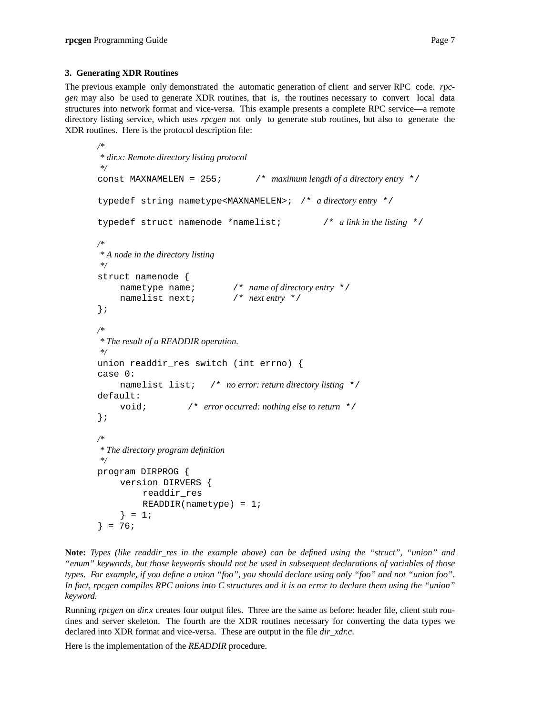The previous example only demonstrated the automatic generation of client and server RPC code. *rpcgen* may also be used to generate XDR routines, that is, the routines necessary to convert local data structures into network format and vice-versa. This example presents a complete RPC service—a remote directory listing service, which uses *rpcgen* not only to generate stub routines, but also to generate the XDR routines. Here is the protocol description file:

```
/*
* dir.x: Remote directory listing protocol
*/
const MAXNAMELEN = 255; /* maximum length of a directory entry */
typedef string nametype<MAXNAMELEN>; /* a directory entry */
typedef struct namenode *namelist; /* a link in the listing */
/*
* A node in the directory listing
*/
struct namenode {
    nametype name; /* name of directory entry */
    namelist next; /* next entry */
};
/*
* The result of a READDIR operation.
*/
union readdir res switch (int errno) {
case 0:
    namelist list; /* no error: return directory listing */
default:
    void; /* error occurred: nothing else to return */
};
/*
* The directory program definition
*/
program DIRPROG {
    version DIRVERS {
         readdir_res
         READDIR(nametype) = 1;} = 1;} = 76;
```
**Note:** *Types (like readdir res in the example above) can be defined using the "struct", "union" and "enum" keywords, but those keywords should not be used in subsequent declarations of variables of those types. For example, if you define a union "foo", you should declare using only "foo" and not "union foo". In fact, rpcgen compiles RPC unions into C structures and it is an error to declare them using the "union" keyword.*

Running *rpcgen* on *dir.x* creates four output files. Three are the same as before: header file, client stub routines and server skeleton. The fourth are the XDR routines necessary for converting the data types we declared into XDR format and vice-versa. These are output in the file *dir\_xdr.c*.

Here is the implementation of the *READDIR* procedure.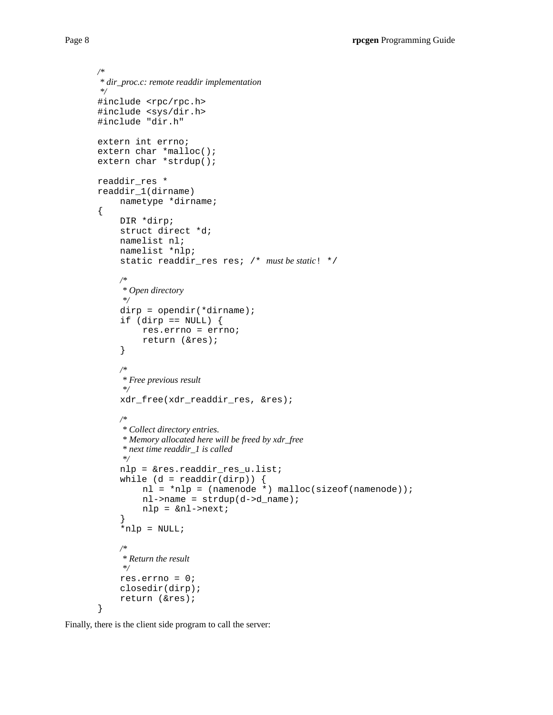```
/*
 * dir_proc.c: remote readdir implementation
*/
#include <rpc/rpc.h>
#include <sys/dir.h>
#include "dir.h"
extern int errno;
extern char *malloc();
extern char *strdup();
readdir_res *
readdir_1(dirname)
    nametype *dirname;
\{DIR *dirp;
    struct direct *d;
    namelist nl;
    namelist *nlp;
     static readdir_res res; /* must be static! */
     /*
     * Open directory
     */
     dirp = opendir(*dirname);
     if (dirp == NULL) {
         res.errno = errno;
         return (&res);
     }
     /*
     * Free pre vious result
     */
     xdr_free(xdr_readdir_res, &res);
     /*
     * Collect directory entries.
     * Memory allocated here will be freed by xdr_free
     * next time readdir_1 is called
     */
    nlp = &res.readdir_res_u.list;
     while (d = readdir(dim)) {
         nl = *nlp = (namenode *) malloc(sizeof(namenode));
         nl->name = strdup(d->d_name);
         nlp = &nl->next;
     }
     *nlp = NULL;/*
     * Return the result
     */
    res.errno = 0;
     closedir(dirp);
     return (&res);
```
}

Finally, there is the client side program to call the server: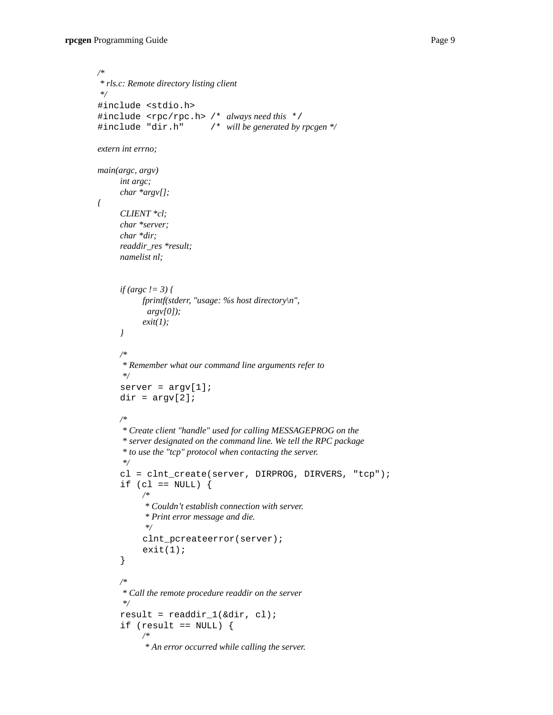*{*

```
/*
* rls.c: Remote directory listing client
*/
#include <stdio.h>
#include <rpc/rpc.h> /* always need this */
#include "dir.h" /* will be generated by rpcgen */
extern int errno;
main(argc, argv)
     int argc;
     char *argv[];
     CLIENT *cl;
     char *server;
     char *dir;
     readdir_res *result;
     namelist nl;
     if (argc != 3) {
          fprintf(stderr, "usage: %s host directory\n",
            argv[0]);
           exit(1);
     }
     /*
      * Remember what our command line arguments refer to
      */
     server = argv[1];dir = argv[2];/*
      * Create client "handle" used for calling MESSAGEPROG on the
      * server designated on the command line. We tell the RPC package
      * to use the "tcp" protocol when contacting the server.
      */
     cl = clnt_create(server, DIRPROG, DIRVERS, "tcp");
     if (cl == NULL) {
           /*
           * Couldn't establish connection with server.
           * Print error message and die.
           */
           clnt_pcreateerror(server);
           exit(1);}
     /*
      * Call the remote procedure readdir on the server
      */
     result = readdir_1(\&dir, cl);if (result == NULL) {
           /*
           * An error occurred while calling the server.
```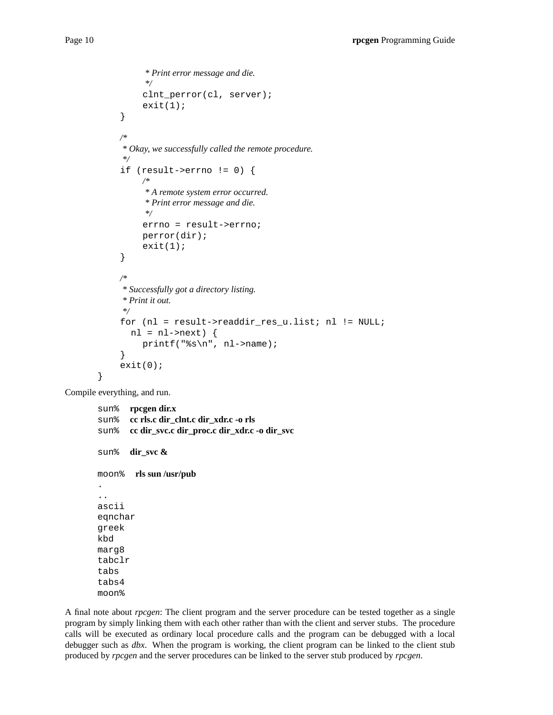```
* Print error message and die.
          */
          clnt_perror(cl, server);
          exit(1);}
     /*
     * Okay, we successfully called the remote procedure.
     */
     if (result->errno != 0) {
          /*
          * A remote system error occurred.
          * Print error message and die.
          */
          errno = result->errno;
          perror(dir);
          exit(1);}
     /*
     * Successfully got a directory listing.
     * Print it out.
     */
     for (nl = result->readdir_res_u.list; nl != NULL;
       nl = nl->next) {
          printf("%s\n", nl->name);
     }
     exit(0);
}
```
Compile everything, and run.

sun% **rpcgen dir.x** sun% **cc rls.c dir\_clnt.c dir\_xdr.c -o rls** sun% **cc dir\_svc.c dir\_proc.c dir\_xdr.c -o dir\_svc** sun% **dir\_svc &** moon% **rls sun /usr/pub** . .. ascii eqnchar greek kbd marg8 tabclr tabs tabs4 moon%

A final note about *rpcgen*: The client program and the server procedure can be tested together as a single program by simply linking them with each other rather than with the client and server stubs. The procedure calls will be executed as ordinary local procedure calls and the program can be debugged with a local debugger such as *dbx*. When the program is working, the client program can be linked to the client stub produced by *rpcgen* and the server procedures can be linked to the server stub produced by *rpcgen*.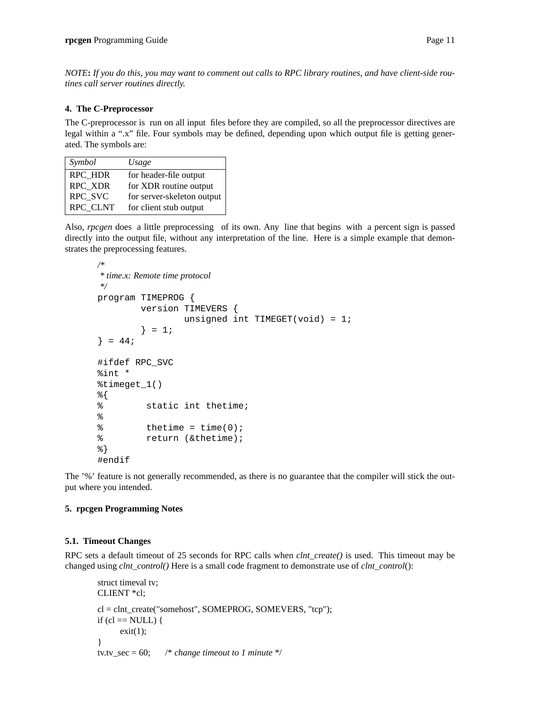*NOTE***:** *If you do this, you may want to comment out calls to RPC library routines, and have client-side routines call server routines directly.*

### **4. The C-Preprocessor**

The C-preprocessor is run on all input files before they are compiled, so all the preprocessor directives are legal within a ".x" file. Four symbols may be defined, depending upon which output file is getting generated. The symbols are:

| Symbol         | Usage                      |
|----------------|----------------------------|
| <b>RPC HDR</b> | for header-file output     |
| <b>RPC XDR</b> | for XDR routine output     |
| RPC SVC        | for server-skeleton output |
| RPC CLNT       | for client stub output     |

Also, *rpcgen* does a little preprocessing of its own. Any line that begins with a percent sign is passed directly into the output file, without any interpretation of the line. Here is a simple example that demonstrates the preprocessing features.

```
/*
* time.x: Remote time protocol
*/
program TIMEPROG {
        version TIMEVERS {
                unsigned int TIMEGET(void) = 1;
        } = 1;\} = 44;
#ifdef RPC_SVC
%int *
%timeget_1()
%{
% static int thetime;
\,% thetime = time(0);
% return (&thetime);
%}
#endif
```
The '%' feature is not generally recommended, as there is no guarantee that the compiler will stick the output where you intended.

### **5. rpcgen Programming Notes**

### **5.1. Timeout Changes**

RPC sets a default timeout of 25 seconds for RPC calls when *clnt\_create()* is used. This timeout may be changed using *clnt\_control()* Here is a small code fragment to demonstrate use of *clnt\_control*():

```
struct timeval tv;
CLIENT *cl;
cl = clnt_create("somehost", SOMEPROG, SOMEVERS, "tcp");
if (cl = NULL) {
     exit(1);}
tv.tv_sec = 60; /* change timeout to 1 minute */
```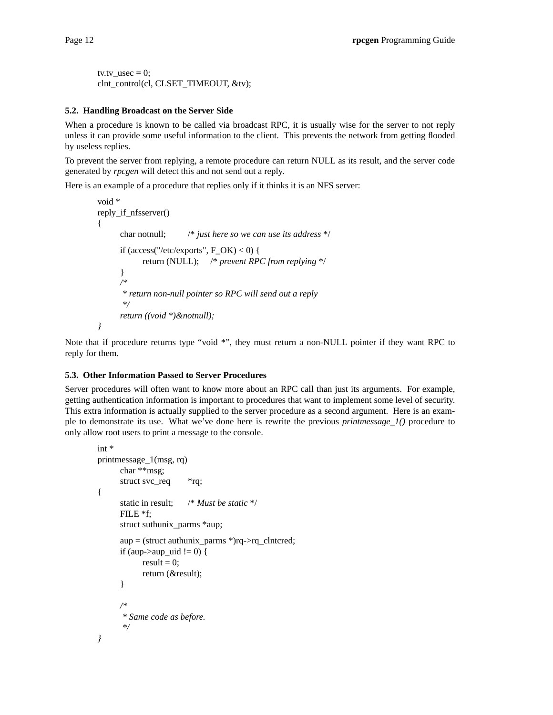```
tv.tv usec = 0;
clnt_control(cl, CLSET_TIMEOUT, &tv);
```
### **5.2. Handling Broadcast on the Server Side**

When a procedure is known to be called via broadcast RPC, it is usually wise for the server to not reply unless it can provide some useful information to the client. This prevents the network from getting flooded by useless replies.

To prevent the server from replying, a remote procedure can return NULL as its result, and the server code generated by *rpcgen* will detect this and not send out a reply.

Here is an example of a procedure that replies only if it thinks it is an NFS server:

```
void *
reply_if_nfsserver()
{
      char notnull; /* just here so we can use its address */
      if (access("/etc/exports", F OK) < 0) {
            return (NULL); /* prevent RPC from replying */
      }
      /*
       * return non-null pointer so RPC will send out a reply
       */
      return ((void *)&notnull);
}
```
Note that if procedure returns type "void \*", they must return a non-NULL pointer if they want RPC to reply for them.

### **5.3. Other Information Passed to Server Procedures**

Server procedures will often want to know more about an RPC call than just its arguments. For example, getting authentication information is important to procedures that want to implement some level of security. This extra information is actually supplied to the server procedure as a second argument. Here is an example to demonstrate its use. What we've done here is rewrite the previous *printmessage\_1()* procedure to only allow root users to print a message to the console.

```
int *
printmessage_1(msg, rq)
      char **msg;
      struct svc_req *rq;
{
      static in result; /* Must be static */
      FILE *f;
      struct suthunix_parms *aup;
      aup = (struct \, authorix_params^*)rq >rq_clntcred;if (aup->aup_uid != 0) {
            result = 0;
            return (&result);
      }
      /*
       * Same code as before.
       */
}
```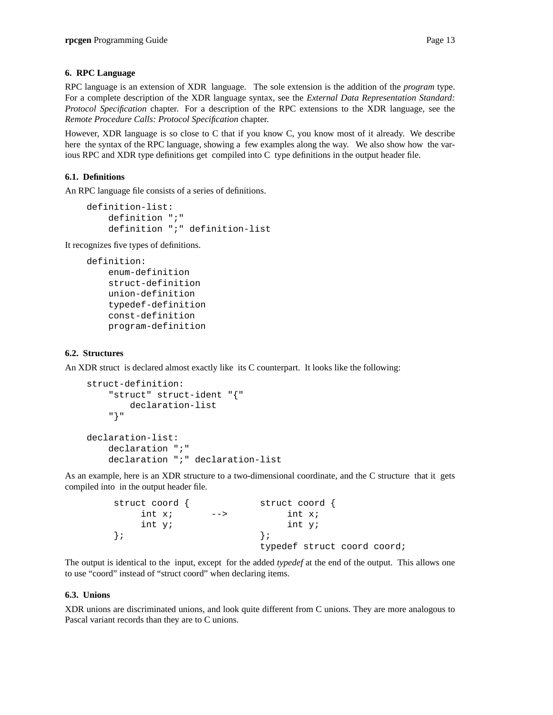## **6. RPC Language**

RPC language is an extension of XDR language. The sole extension is the addition of the *program* type. For a complete description of the XDR language syntax, see the *External Data Representation Standard: Protocol Specification* chapter. For a description of the RPC extensions to the XDR language, see the *Remote Procedure Calls: Protocol Specification* chapter.

However, XDR language is so close to C that if you know C, you know most of it already. We describe here the syntax of the RPC language, showing a few examples along the way. We also show how the various RPC and XDR type definitions get compiled into C type definitions in the output header file.

# **6.1. Definitions**

An RPC language file consists of a series of definitions.

```
definition-list:
   definition ";"
   definition ";" definition-list
```
It recognizes five types of definitions.

```
definition:
    enum-definition
    struct-definition
   union-definition
    typedef-definition
   const-definition
   program-definition
```
# **6.2. Structures**

An XDR struct is declared almost exactly like its C counterpart. It looks like the following:

```
struct-definition:
    "struct" struct-ident "{"
        declaration-list
    "}"
declaration-list:
    declaration ";"
    declaration ";" declaration-list
```
As an example, here is an XDR structure to a two-dimensional coordinate, and the C structure that it gets compiled into in the output header file.

| struct coord $\langle$ |      | struct coord {              |
|------------------------|------|-----------------------------|
| int x;                 | $--$ | int x;                      |
| int y;                 |      | int y;                      |
|                        |      |                             |
|                        |      | typedef struct coord coord; |

The output is identical to the input, except for the added *typedef* at the end of the output. This allows one to use "coord" instead of "struct coord" when declaring items.

### **6.3. Unions**

XDR unions are discriminated unions, and look quite different from C unions. They are more analogous to Pascal variant records than they are to C unions.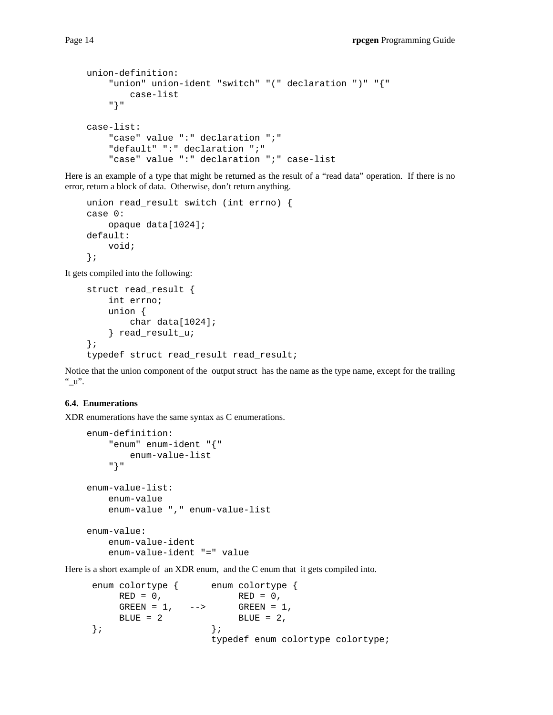```
union-definition:
    "union" union-ident "switch" "(" declaration ")" "{"
        case-list
    "}"
case-list:
    "case" value ":" declaration ";"
    "default" ":" declaration ";"
    "case" value ":" declaration ";" case-list
```
Here is an example of a type that might be returned as the result of a "read data" operation. If there is no error, return a block of data. Otherwise, don't return anything.

```
union read_result switch (int errno) {
case 0:
    opaque data[1024];
default:
   void;
};
```
It gets compiled into the following:

```
struct read_result {
    int errno;
   union {
        char data[1024];
    } read_result_u;
};
typedef struct read_result read_result;
```
Notice that the union component of the output struct has the name as the type name, except for the trailing " $\mathbf{u}$ ".

### **6.4. Enumerations**

XDR enumerations have the same syntax as C enumerations.

```
enum-definition:
    "enum" enum-ident "{"
        enum-value-list
    "}"
enum-value-list:
   enum-value
   enum-value "," enum-value-list
enum-value:
   enum-value-ident
    enum-value-ident "=" value
```
Here is a short example of an XDR enum, and the C enum that it gets compiled into.

```
enum colortype { enum colortype {
   RED = 0, RED = 0,
   GREEN = 1, \longrightarrow GREEN = 1,B \text{LUE} = 2 BLUE = 2,
}; \};
                  typedef enum colortype colortype;
```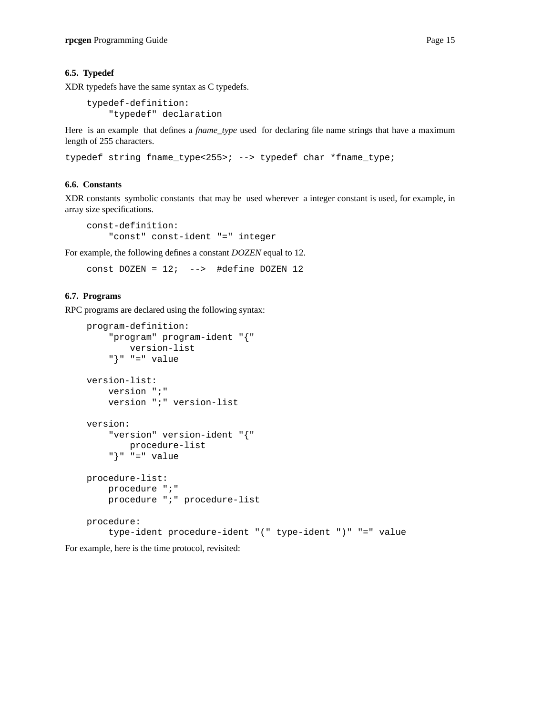### **6.5. Typedef**

XDR typedefs have the same syntax as C typedefs.

```
typedef-definition:
    "typedef" declaration
```
Here is an example that defines a *fname\_type* used for declaring file name strings that have a maximum length of 255 characters.

```
typedef string fname_type<255>; --> typedef char *fname_type;
```
# **6.6. Constants**

XDR constants symbolic constants that may be used wherever a integer constant is used, for example, in array size specifications.

```
const-definition:
    "const" const-ident "=" integer
```
For example, the following defines a constant *DOZEN* equal to 12.

```
const DOZEN = 12; --> #define DOZEN 12
```
### **6.7. Programs**

RPC programs are declared using the following syntax:

```
program-definition:
    "program" program-ident "{"
        version-list
    "}" "=" value
version-list:
   version ";"
    version ";" version-list
version:
    "version" version-ident "{"
      procedure-list
    "\}" "=" value
procedure-list:
    procedure ";"
    procedure ";" procedure-list
procedure:
    type-ident procedure-ident "(" type-ident ")" "=" value
```
For example, here is the time protocol, revisited: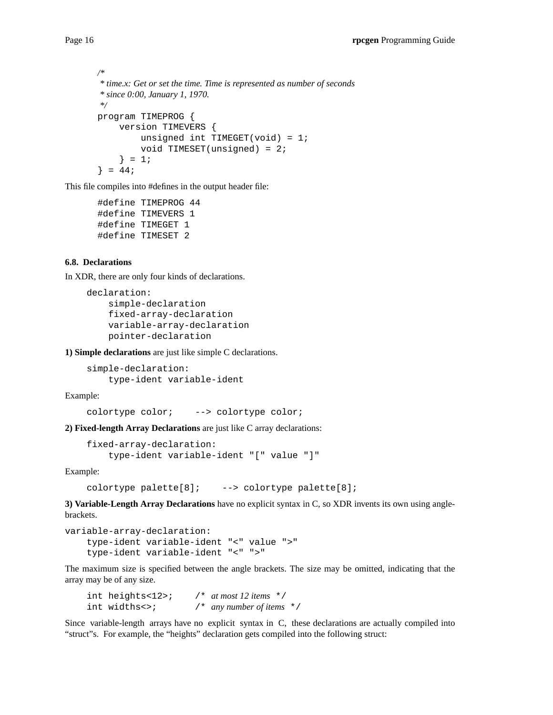```
/*
* time.x: Get or set the time. Time is represented as number of seconds
* since 0:00, January 1, 1970.
*/
program TIMEPROG {
    version TIMEVERS {
         unsigned int TIMEGET(void) = 1;
         void TIMESET(unsigned) = 2;
     } = 1;\} = 44;
```
This file compiles into #defines in the output header file:

```
#define TIMEPROG 44
#define TIMEVERS 1
#define TIMEGET 1
#define TIMESET 2
```
## **6.8. Declarations**

In XDR, there are only four kinds of declarations.

```
declaration:
    simple-declaration
    fixed-array-declaration
   variable-array-declaration
   pointer-declaration
```
**1) Simple declarations** are just like simple C declarations.

```
simple-declaration:
    type-ident variable-ident
```
Example:

```
colortype color; --> colortype color;
```
**2) Fixed-length Array Declarations** are just like C array declarations:

```
fixed-array-declaration:
   type-ident variable-ident "[" value "]"
```
Example:

```
colortype palette[8]; --> colortype palette[8];
```
**3) Variable-Length Array Declarations** have no explicit syntax in C, so XDR invents its own using anglebrackets.

```
variable-array-declaration:
    type-ident variable-ident "<" value ">"
    type-ident variable-ident "<" ">"
```
The maximum size is specified between the angle brackets. The size may be omitted, indicating that the array may be of any size.

| int heights<12>; | $\frac{1}{2}$ at most 12 items $\frac{*}{2}$ |  |
|------------------|----------------------------------------------|--|
| int widths<>;    | $\prime$ any number of items $\star$ /       |  |

Since variable-length arrays have no explicit syntax in C, these declarations are actually compiled into "struct"s. For example, the "heights" declaration gets compiled into the following struct: